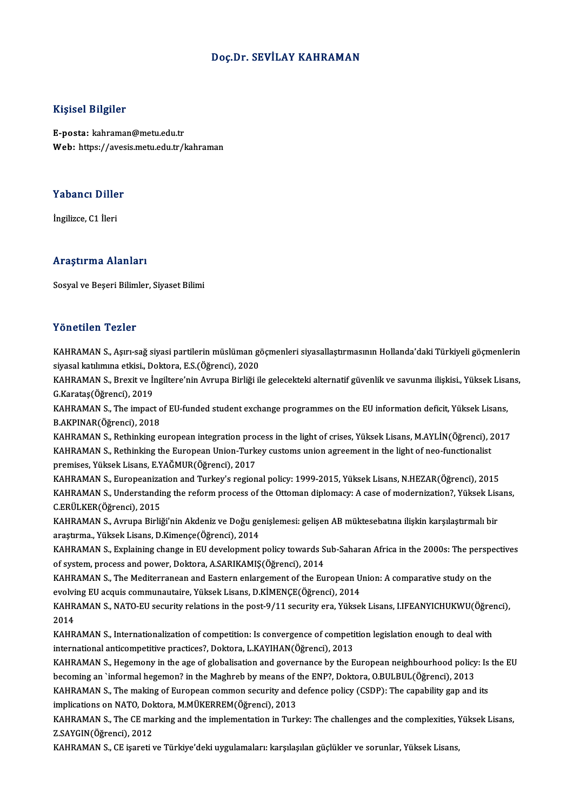#### Doç.Dr. SEVİLAY KAHRAMAN

#### Kişisel Bilgiler

E-posta: kahraman@metu.edu.tr Web: https://avesis.metu.edu.tr/kahraman

# Yabancı Diller<br>Yabancı Diller Y<mark>abancı Dille</mark><br>İngilizce, C1 İleri

# İngilizce, C1 İleri<br>Araştırma Alanları

Sosyal ve Beşeri Bilimler, Siyaset Bilimi

#### Yönetilen Tezler

Yönetilen Tezler<br>KAHRAMAN S., Aşırı-sağ siyasi partilerin müslüman göçmenleri siyasallaştırmasının Hollanda'daki Türkiyeli göçmenlerin<br>Siyasel katılımına etkisi, Doktara E.S.(Öğrensi), 2020 siyasal katılımına etkisi.<br>KAHRAMAN S., Aşırı-sağ siyasi partilerin müslüman gö<br>siyasal katılımına etkisi., Doktora, E.S.(Öğrenci), 2020<br>KAHRAMAN S., Brevit ve İngiltere'nin Ayrıyna Birliği il KAHRAMAN S., Aşırı-sağ siyasi partilerin müslüman göçmenleri siyasallaştırmasının Hollanda'daki Türkiyeli göçmenlerin<br>siyasal katılımına etkisi., Doktora, E.S.(Öğrenci), 2020<br>KAHRAMAN S., Brexit ve İngiltere'nin Avrupa Bir

siyasal katılımına etkisi., Doktora, E.S.(Öğrenci), 2020<br>KAHRAMAN S., Brexit ve İngiltere'nin Avrupa Birliği i<br>G.Karataş(Öğrenci), 2019 KAHRAMAN S., Brexit ve İngiltere'nin Avrupa Birliği ile gelecekteki alternatif güvenlik ve savunma ilişkisi., Yüksek Lisa<br>G.Karataş(Öğrenci), 2019<br>KAHRAMAN S., The impact of EU-funded student exchange programmes on the EU

KAHRAMAN S., The impact of EU-funded student exchange programmes on the EU information deficit, Yüksek Lisans,<br>B.AKPINAR(Öğrenci), 2018 KAHRAMAN S., The impact of EU-funded student exchange programmes on the EU information deficit, Yüksek Lisans,<br>B.AKPINAR(Öğrenci), 2018<br>KAHRAMAN S., Rethinking european integration process in the light of crises, Yüksek Li

B.AKPINAR(Öğrenci), 2018<br>KAHRAMAN S., Rethinking european integration process in the light of crises, Yüksek Lisans, M.AYLİN(Öğrenci), 2<br>KAHRAMAN S., Rethinking the European Union-Turkey customs union agreement in the ligh KAHRAMAN S., Rethinking european integration pro<br>KAHRAMAN S., Rethinking the European Union-Turk<br>premises, Yüksek Lisans, E.YAĞMUR(Öğrenci), 2017<br>KAHRAMAN S. Europeaniration and Turkey's region KAHRAMAN S., Rethinking the European Union-Turkey customs union agreement in the light of neo-functionalist<br>premises, Yüksek Lisans, E.YAĞMUR(Öğrenci), 2017<br>KAHRAMAN S., Europeanization and Turkey's regional policy: 1999-2

premises, Yüksek Lisans, E.YAĞMUR(Öğrenci), 2017<br>KAHRAMAN S., Europeanization and Turkey's regional policy: 1999-2015, Yüksek Lisans, N.HEZAR(Öğrenci), 2015<br>KAHRAMAN S., Understanding the reform process of the Ottoman dipl KAHRAMAN S., Europeaniza<br>KAHRAMAN S., Understandi<br>C.ERÜLKER(Öğrenci), 2015<br>KAHRAMAN S., Aynung Birlii KAHRAMAN S., Understanding the reform process of the Ottoman diplomacy: A case of modernization?, Yüksek Lis:<br>C.ERÜLKER(Öğrenci), 2015<br>KAHRAMAN S., Avrupa Birliği'nin Akdeniz ve Doğu genişlemesi: gelişen AB müktesebatına i

C.ERÜLKER(Öğrenci), 2015<br>KAHRAMAN S., Avrupa Birliği'nin Akdeniz ve Doğu ge<br>araştırma., Yüksek Lisans, D.Kimençe(Öğrenci), 2014<br>KAHRAMAN S. Evplaining ebange in EU davelanment KAHRAMAN S., Avrupa Birliği'nin Akdeniz ve Doğu genişlemesi: gelişen AB müktesebatına ilişkin karşılaştırmalı bir<br>araştırma., Yüksek Lisans, D.Kimençe(Öğrenci), 2014<br>KAHRAMAN S., Explaining change in EU development policy

araştırma., Yüksek Lisans, D.Kimençe(Öğrenci), 2014<br>KAHRAMAN S., Explaining change in EU development policy towards S<br>of system, process and power, Doktora, A.SARIKAMIŞ(Öğrenci), 2014 KAHRAMAN S., Explaining change in EU development policy towards Sub-Saharan Africa in the 2000s: The perspectives<br>of system, process and power, Doktora, A.SARIKAMIŞ(Öğrenci), 2014<br>KAHRAMAN S., The Mediterranean and Eastern

KAHRAMAN S., The Mediterranean and Eastern enlargement of the European Union: A comparative study on the KAHRAMAN S., The Mediterranean and Eastern enlargement of the European Union: A comparative study on the<br>evolving EU acquis communautaire, Yüksek Lisans, D.KİMENÇE(Öğrenci), 2014<br>KAHRAMAN S., NATO-EU security relations in

evolvi<br>KAHR<br>2014<br><sup>KAHR</sup> KAHRAMAN S., NATO-EU security relations in the post-9/11 security era, Yüksek Lisans, I.IFEANYICHUKWU(Öğren<br>2014<br>KAHRAMAN S., Internationalization of competition: Is convergence of competition legislation enough to deal wi

2014<br>KAHRAMAN S., Internationalization of competition: Is convergence of competi<br>international anticompetitive practices?, Doktora, L.KAYIHAN(Öğrenci), 2013<br>KAHRAMAN S., Hogemony in the 200 of globalisation and governance KAHRAMAN S., Internationalization of competition: Is convergence of competition legislation enough to deal with<br>international anticompetitive practices?, Doktora, L.KAYIHAN(Öğrenci), 2013<br>KAHRAMAN S., Hegemony in the age o

international anticompetitive practices?, Doktora, L.KAYIHAN(Öğrenci), 2013<br>KAHRAMAN S., Hegemony in the age of globalisation and governance by the European neighbourhood policy: Is the EU<br>becoming an `informal hegemon? in KAHRAMAN S., Hegemony in the age of globalisation and governance by the European neighbourhood policy: Is<br>becoming an `informal hegemon? in the Maghreb by means of the ENP?, Doktora, O.BULBUL(Öğrenci), 2013<br>KAHRAMAN S., Th becoming an `informal hegemon? in the Maghreb by means of t<br>KAHRAMAN S., The making of European common security and implications on NATO, Doktora, M.MÜKERREM(Öğrenci), 2013<br>KAHRAMAN S. The CE marking and the implementation

KAHRAMAN S., The making of European common security and defence policy (CSDP): The capability gap and its<br>implications on NATO, Doktora, M.MÜKERREM(Öğrenci), 2013<br>KAHRAMAN S., The CE marking and the implementation in Turke implications on NATO, Doktora, M.MÜKERREM(Öğrenci), 2013<br>KAHRAMAN S., The CE marking and the implementation in Turkey: The challenges and the complexities, Yüksek Lisans,<br>Z.SAYGIN(Öğrenci), 2012

KAHRAMAN S., CE işareti ve Türkiye'deki uygulamaları: karşılaşılan güçlükler ve sorunlar, Yüksek Lisans,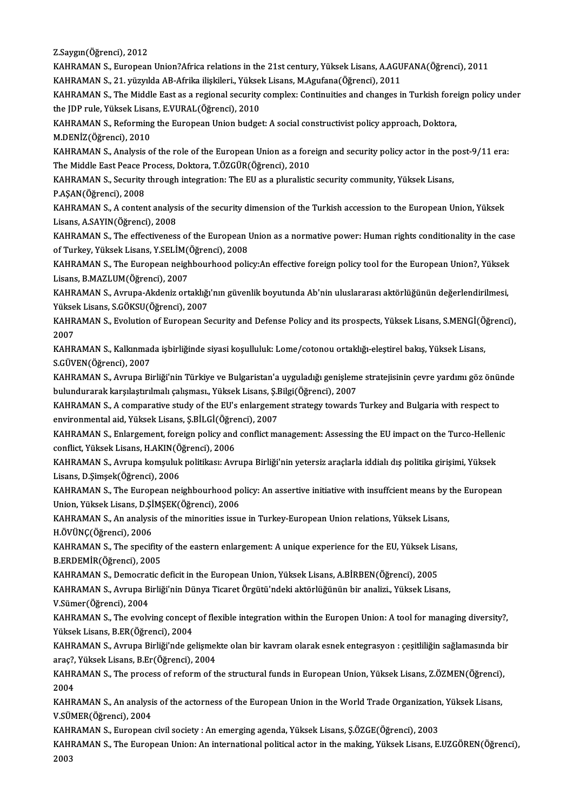Z.Saygın(Öğrenci),2012

Z.Saygın(Öğrenci), 2012<br>KAHRAMAN S., European Union?Africa relations in the 21st century, Yüksek Lisans, A.AGUFANA(Öğrenci), 2011<br>KAHRAMAN S. 21. vüzyılda AR Afrika iliakileri, Yüksek Lisans, MAgyfone (Öğrenci), 2011 Z.Saygın(Öğrenci), 2012<br>KAHRAMAN S., European Union?Africa relations in the 21st century, Yüksek Lisans, A.AGU<br>KAHRAMAN S., 21. yüzyılda AB-Afrika ilişkileri., Yüksek Lisans, M.Agufana(Öğrenci), 2011<br>KAHRAMAN S., The Middl

KAHRAMAN S., European Union?Africa relations in the 21st century, Yüksek Lisans, A.AGUFANA(Öğrenci), 2011<br>KAHRAMAN S., 21. yüzyılda AB-Afrika ilişkileri., Yüksek Lisans, M.Agufana(Öğrenci), 2011<br>KAHRAMAN S., The Middle Eas KAHRAMAN S., 21. yüzyılda AB-Afrika ilişkileri., Yükse<br>KAHRAMAN S., The Middle East as a regional security<br>the JDP rule, Yüksek Lisans, E.VURAL(Öğrenci), 2010<br>KAHPAMAN S. Reforming the Euronean Union budge KAHRAMAN S., The Middle East as a regional security complex: Continuities and changes in Turkish fore<br>the JDP rule, Yüksek Lisans, E.VURAL(Öğrenci), 2010<br>KAHRAMAN S., Reforming the European Union budget: A social construct

the JDP rule, Yüksek Lisans, E.VURAL(Öğrenci), 2010<br>KAHRAMAN S., Reforming the European Union budget: A social constructivist policy approach, Doktora,<br>M.DENİZ(Öğrenci), 2010 KAHRAMAN S., Reforming the European Union budget: A social constructivist policy approach, Doktora,<br>M.DENİZ(Öğrenci), 2010<br>KAHRAMAN S., Analysis of the role of the European Union as a foreign and security policy actor in t

M.DENİZ(Öğrenci), 2010<br>KAHRAMAN S., Analysis of the role of the European Union as a fore<br>The Middle East Peace Process, Doktora, T.ÖZGÜR(Öğrenci), 2010<br>KAHRAMAN S. Segurity through integration: The EU as a pluralisti KAHRAMAN S., Analysis of the role of the European Union as a foreign and security policy actor in the p<br>The Middle East Peace Process, Doktora, T.ÖZGÜR(Öğrenci), 2010<br>KAHRAMAN S., Security through integration: The EU as a

The Middle East Peace P<br>KAHRAMAN S., Security<br>P.AŞAN(Öğrenci), 2008<br>KAHRAMAN S. A conton

KAHRAMAN S., Security through integration: The EU as a pluralistic security community, Yüksek Lisans,<br>P.AŞAN(Öğrenci), 2008<br>KAHRAMAN S., A content analysis of the security dimension of the Turkish accession to the European P.AŞAN(Öğrenci), 2008<br>KAHRAMAN S., A content analysis of the security dimension of the Turkish accession to the European Union, Yüksek<br>Lisans, A.SAYIN(Öğrenci), 2008 KAHRAMAN S., A content analysis of the security dimension of the Turkish accession to the European Union, Yüksek<br>Lisans, A.SAYIN(Öğrenci), 2008<br>KAHRAMAN S., The effectiveness of the European Union as a normative power: Hum

Lisans, A.SAYIN(Öğrenci), 2008<br>KAHRAMAN S., The effectiveness of the European I<br>of Turkey, Yüksek Lisans, Y.SELİM(Öğrenci), 2008<br>KAHRAMAN S. The European neighbourbeed poli KAHRAMAN S., The effectiveness of the European Union as a normative power: Human rights conditionality in the case<br>of Turkey, Yüksek Lisans, Y.SELİM(Öğrenci), 2008<br>KAHRAMAN S., The European neighbourhood policy:An effectiv

of Turkey, Yüksek Lisans, Y.SELİM(Öğrenci), 2008<br>KAHRAMAN S., The European neighbourhood poli<br>Lisans, B.MAZLUM(Öğrenci), 2007 KAHRAMAN S., The European neighbourhood policy:An effective foreign policy tool for the European Union?, Yüksek<br>Lisans, B.MAZLUM(Öğrenci), 2007<br>KAHRAMAN S., Avrupa-Akdeniz ortaklığı'nın güvenlik boyutunda Ab'nin uluslarara

KAHRAMAN S., Avrupa-Akdeniz ortaklığı'nın güvenlik boyutunda Ab'nin uluslararası aktörlüğünün değerlendirilmesi, KAHRAMAN S., Avrupa-Akdeniz ortaklığı'nın güvenlik boyutunda Ab'nin uluslararası aktörlüğünün değerlendirilmesi,<br>Yüksek Lisans, S.GÖKSU(Öğrenci), 2007<br>KAHRAMAN S., Evolution of European Security and Defense Policy and its

Yükse<br>KAHR<br>2007<br><sup>KAHP</sup> KAHRAMAN S., Evolution of European Security and Defense Policy and its prospects, Yüksek Lisans, S.MENGİ(Ö.<br>2007<br>KAHRAMAN S., Kalkınmada işbirliğinde siyasi koşulluluk: Lome/cotonou ortaklığı-eleştirel bakış, Yüksek Lisans

2007<br>KAHRAMAN S., Kalkınmada işbirliğinde siyasi koşulluluk: Lome/cotonou ortaklığı-eleştirel bakış, Yüksek Lisans,<br>S.GÜVEN(Öğrenci), 2007 KAHRAMAN S., Kalkınmada işbirliğinde siyasi koşulluluk: Lome/cotonou ortaklığı-eleştirel bakış, Yüksek Lisans,<br>S.GÜVEN(Öğrenci), 2007<br>KAHRAMAN S., Avrupa Birliği'nin Türkiye ve Bulgaristan'a uyguladığı genişleme stratejisi

S.GÜVEN(Öğrenci), 2007<br>KAHRAMAN S., Avrupa Birliği'nin Türkiye ve Bulgaristan'a uyguladığı genişlem<br>bulundurarak karşılaştırılmalı çalışması., Yüksek Lisans, Ş.Bilgi(Öğrenci), 2007<br>KAHRAMAN S. A semparatiye study of the EU KAHRAMAN S., Avrupa Birliği'nin Türkiye ve Bulgaristan'a uyguladığı genişleme stratejisinin çevre yardımı göz önün<br>bulundurarak karşılaştırılmalı çalışması., Yüksek Lisans, Ş.Bilgi(Öğrenci), 2007<br>KAHRAMAN S., A comparative

bulundurarak karşılaştırılmalı çalışması., Yüksek Lisans, Ş.Bilgi(Öğrenci), 2007<br>KAHRAMAN S., A comparative study of the EU's enlargement strategy towards Turkey and Bulgaria with respect to<br>environmental aid, Yüksek Lisan KAHRAMAN S., A comparative study of the EU's enlargement strategy towards Turkey and Bulgaria with respect to<br>environmental aid, Yüksek Lisans, Ş.BİLGİ(Öğrenci), 2007<br>KAHRAMAN S., Enlargement, foreign policy and conflict m

environmental aid, Yüksek Lisans, Ş.BİLGİ(Öğre<br>KAHRAMAN S., Enlargement, foreign policy and<br>conflict, Yüksek Lisans, H.AKIN(Öğrenci), 2006<br>KAHRAMAN S., Ayruna komayluk politikası, Ayr KAHRAMAN S., Enlargement, foreign policy and conflict management: Assessing the EU impact on the Turco-Hellen<br>conflict, Yüksek Lisans, H.AKIN(Öğrenci), 2006<br>KAHRAMAN S., Avrupa komşuluk politikası: Avrupa Birliği'nin yeter

conflict, Yüksek Lisans, H.AKIN(Ö<br>KAHRAMAN S., Avrupa komşuluk<br>Lisans, D.Şimşek(Öğrenci), 2006<br>KAHRAMAN S., The European nei KAHRAMAN S., Avrupa komşuluk politikası: Avrupa Birliği'nin yetersiz araçlarla iddialı dış politika girişimi, Yüksek<br>Lisans, D.Şimşek(Öğrenci), 2006<br>KAHRAMAN S., The European neighbourhood policy: An assertive initiative w

Lisans, D.Şimşek(Öğrenci), 2006<br>KAHRAMAN S., The European neighbourhood po<br>Union, Yüksek Lisans, D.ŞİMŞEK(Öğrenci), 2006<br>KAHRAMAN S. An onalysis of the minerities issu KAHRAMAN S., The European neighbourhood policy: An assertive initiative with insuffcient means by t<br>Union, Yüksek Lisans, D.ŞİMŞEK(Öğrenci), 2006<br>KAHRAMAN S., An analysis of the minorities issue in Turkey-European Union re

Union, Yüksek Lisans, D.ŞİMŞEK(Öğrenci), 2006<br>KAHRAMAN S., An analysis of the minorities issue in Turkey-European Union relations, Yüksek Lisans,<br>H.ÖVÜNÇ(Öğrenci), 2006 KAHRAMAN S., An analysis of the minorities issue in Turkey-European Union relations, Yüksek Lisans,<br>H.ÖVÜNÇ(Öğrenci), 2006<br>KAHRAMAN S., The specifity of the eastern enlargement: A unique experience for the EU, Yüksek Lisan

H.ÖVÜNÇ(Öğrenci), 2006<br>KAHRAMAN S., The specifity<br>B.ERDEMİR(Öğrenci), 2005<br>KAHBAMAN S., Domografis é KAHRAMAN S., The specifity of the eastern enlargement: A unique experience for the EU, Yüksek Lis<br>B.ERDEMİR(Öğrenci), 2005<br>KAHRAMAN S., Democratic deficit in the European Union, Yüksek Lisans, A.BİRBEN(Öğrenci), 2005<br>KAHRA B.ERDEMİR(Öğrenci), 2005<br>KAHRAMAN S., Democratic deficit in the European Union, Yüksek Lisans, A.BİRBEN(Öğrenci), 2005<br>KAHRAMAN S., Avrupa Birliği'nin Dünya Ticaret Örgütü'ndeki aktörlüğünün bir analizi., Yüksek Lisans,<br>V.

KAHRAMAN S., Democrat<br>KAHRAMAN S., Avrupa B<br>V.Sümer(Öğrenci), 2004<br>KAHBAMAN S., The evely

KAHRAMAN S., Avrupa Birliği'nin Dünya Ticaret Örgütü'ndeki aktörlüğünün bir analizi., Yüksek Lisans,<br>V.Sümer(Öğrenci), 2004<br>KAHRAMAN S., The evolving concept of flexible integration within the Europen Union: A tool for man V.Sümer(Öğrenci), 2004<br>KAHRAMAN S., The evolving concept<br>Yüksek Lisans, B.ER(Öğrenci), 2004<br>KAHRAMAN S., Ayruna Birliği'nde ge KAHRAMAN S., The evolving concept of flexible integration within the Europen Union: A tool for managing diversity?,<br>Yüksek Lisans, B.ER(Öğrenci), 2004<br>KAHRAMAN S., Avrupa Birliği'nde gelişmekte olan bir kavram olarak esnek

Yüksek Lisans, B.ER(Öğrenci), 2004<br>KAHRAMAN S., Avrupa Birliği'nde gelişmekte olan bir kavram olarak esnek entegrasyon : çeşitliliğin sağlamasında bir<br>araç?, Yüksek Lisans, B.Er(Öğrenci), 2004 KAHRAMAN S., Avrupa Birliği'nde gelişmekte olan bir kavram olarak esnek entegrasyon : çeşitliliğin sağlamasında bi<br>araç?, Yüksek Lisans, B.Er(Öğrenci), 2004<br>KAHRAMAN S., The process of reform of the structural funds in Eur

araç?,<br>KAHR<br>2004<br>KAHR KAHRAMAN S., The process of reform of the structural funds in European Union, Yüksek Lisans, Z.ÖZMEN(Öğrenci)<br>2004<br>KAHRAMAN S., An analysis of the actorness of the European Union in the World Trade Organization, Yüksek Lis

2004<br>KAHRAMAN S., An analysi<br>V.SÜMER(Öğrenci), 2004<br>KAHRAMAN S., Euronean KAHRAMAN S., An analysis of the actorness of the European Union in the World Trade Organization<br>V.SÜMER(Öğrenci), 2004<br>KAHRAMAN S., European civil society : An emerging agenda, Yüksek Lisans, Ş.ÖZGE(Öğrenci), 2003<br>KAHRAMAN

V.SÜMER(Öğrenci), 2004<br>KAHRAMAN S., European civil society : An emerging agenda, Yüksek Lisans, Ş.ÖZGE(Öğrenci), 2003<br>KAHRAMAN S., The European Union: An international political actor in the making, Yüksek Lisans, E.UZGÖRE KAHI<br>KAHI<br>2003